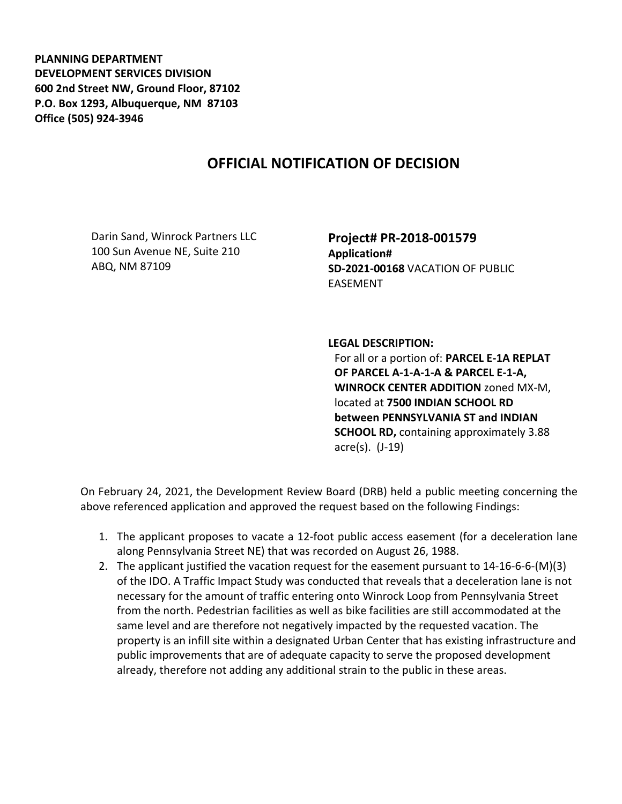**PLANNING DEPARTMENT DEVELOPMENT SERVICES DIVISION 600 2nd Street NW, Ground Floor, 87102 P.O. Box 1293, Albuquerque, NM 87103 Office (505) 924-3946** 

## **OFFICIAL NOTIFICATION OF DECISION**

Darin Sand, Winrock Partners LLC 100 Sun Avenue NE, Suite 210 ABQ, NM 87109

**Project# PR-2018-001579 Application# SD-2021-00168** VACATION OF PUBLIC EASEMENT

**LEGAL DESCRIPTION:**

For all or a portion of: **PARCEL E-1A REPLAT OF PARCEL A-1-A-1-A & PARCEL E-1-A, WINROCK CENTER ADDITION** zoned MX-M, located at **7500 INDIAN SCHOOL RD between PENNSYLVANIA ST and INDIAN SCHOOL RD,** containing approximately 3.88 acre(s). (J-19)

On February 24, 2021, the Development Review Board (DRB) held a public meeting concerning the above referenced application and approved the request based on the following Findings:

- 1. The applicant proposes to vacate a 12-foot public access easement (for a deceleration lane along Pennsylvania Street NE) that was recorded on August 26, 1988.
- 2. The applicant justified the vacation request for the easement pursuant to 14-16-6-6-(M)(3) of the IDO. A Traffic Impact Study was conducted that reveals that a deceleration lane is not necessary for the amount of traffic entering onto Winrock Loop from Pennsylvania Street from the north. Pedestrian facilities as well as bike facilities are still accommodated at the same level and are therefore not negatively impacted by the requested vacation. The property is an infill site within a designated Urban Center that has existing infrastructure and public improvements that are of adequate capacity to serve the proposed development already, therefore not adding any additional strain to the public in these areas.